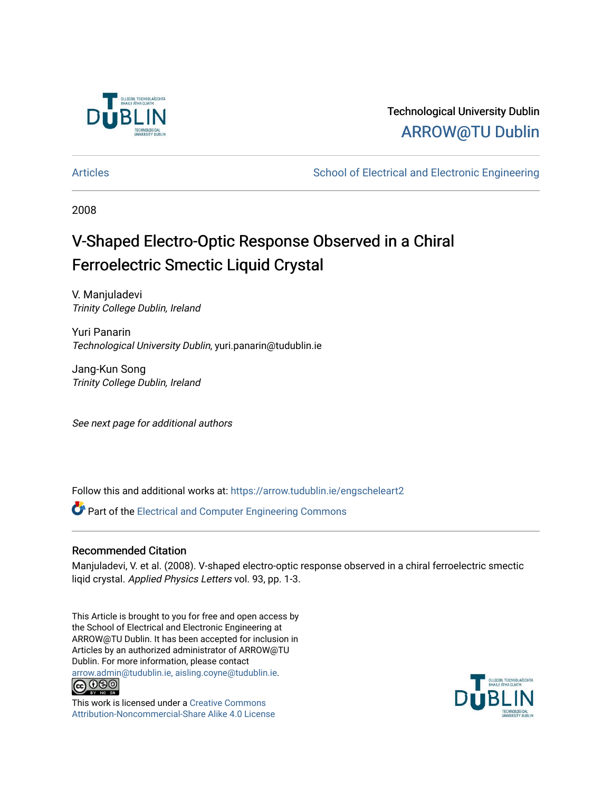

## Technological University Dublin [ARROW@TU Dublin](https://arrow.tudublin.ie/)

[Articles](https://arrow.tudublin.ie/engscheleart2) **School of Electrical and Electronic Engineering** School of Electronic Engineering

2008

# V-Shaped Electro-Optic Response Observed in a Chiral Ferroelectric Smectic Liquid Crystal

V. Manjuladevi Trinity College Dublin, Ireland

Yuri Panarin Technological University Dublin, yuri.panarin@tudublin.ie

Jang-Kun Song Trinity College Dublin, Ireland

See next page for additional authors

Follow this and additional works at: [https://arrow.tudublin.ie/engscheleart2](https://arrow.tudublin.ie/engscheleart2?utm_source=arrow.tudublin.ie%2Fengscheleart2%2F169&utm_medium=PDF&utm_campaign=PDFCoverPages)

**P** Part of the Electrical and Computer Engineering Commons

#### Recommended Citation

Manjuladevi, V. et al. (2008). V-shaped electro-optic response observed in a chiral ferroelectric smectic liqid crystal. Applied Physics Letters vol. 93, pp. 1-3.

This Article is brought to you for free and open access by the School of Electrical and Electronic Engineering at ARROW@TU Dublin. It has been accepted for inclusion in Articles by an authorized administrator of ARROW@TU Dublin. For more information, please contact [arrow.admin@tudublin.ie, aisling.coyne@tudublin.ie](mailto:arrow.admin@tudublin.ie,%20aisling.coyne@tudublin.ie).<br>
co 000



This work is licensed under a [Creative Commons](http://creativecommons.org/licenses/by-nc-sa/4.0/) [Attribution-Noncommercial-Share Alike 4.0 License](http://creativecommons.org/licenses/by-nc-sa/4.0/)

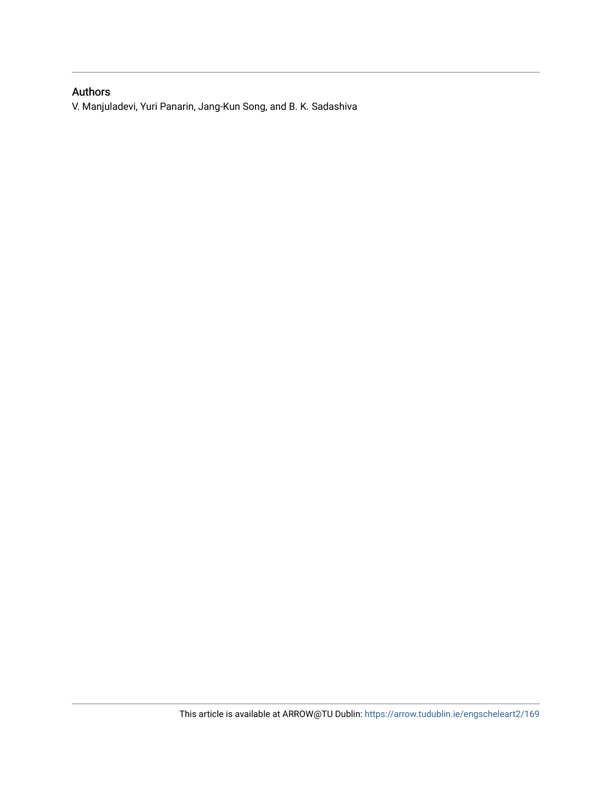#### Authors

V. Manjuladevi, Yuri Panarin, Jang-Kun Song, and B. K. Sadashiva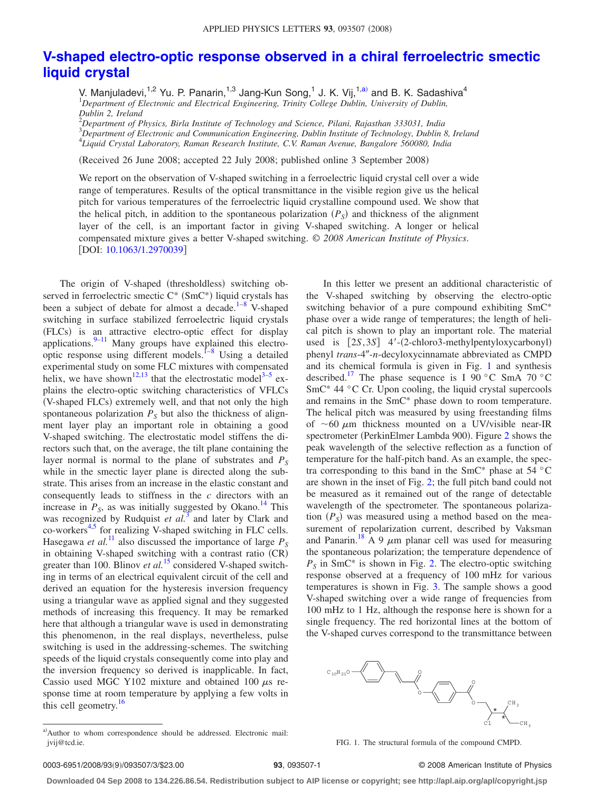### **[V-shaped electro-optic response observed in a chiral ferroelectric smectic](http://dx.doi.org/10.1063/1.2970039) [liquid crystal](http://dx.doi.org/10.1063/1.2970039)**

V. Manjuladevi,<sup>1,2</sup> Yu. P. Panarin,<sup>1,3</sup> Jang-Kun Song,<sup>1</sup> J. K. Vij,<sup>1[,a](#page-2-0))</sup> and B. K. Sadashiva<sup>4</sup><br><sup>1</sup>Department of Electronic and Electrical Engineering, Trinity College Dublin, University of Dublin, *Dublin 2, Ireland*

2 *Department of Physics, Birla Institute of Technology and Science, Pilani, Rajasthan 333031, India* 3 *Department of Electronic and Communication Engineering, Dublin Institute of Technology, Dublin 8, Ireland* 4 *Liquid Crystal Laboratory, Raman Research Institute, C.V. Raman Avenue, Bangalore 560080, India*

Received 26 June 2008; accepted 22 July 2008; published online 3 September 2008-

We report on the observation of V-shaped switching in a ferroelectric liquid crystal cell over a wide range of temperatures. Results of the optical transmittance in the visible region give us the helical pitch for various temperatures of the ferroelectric liquid crystalline compound used. We show that the helical pitch, in addition to the spontaneous polarization  $(P<sub>S</sub>)$  and thickness of the alignment layer of the cell, is an important factor in giving V-shaped switching. A longer or helical compensated mixture gives a better V-shaped switching. © *2008 American Institute of Physics*. [DOI: [10.1063/1.2970039](http://dx.doi.org/10.1063/1.2970039)]

The origin of V-shaped (thresholdless) switching observed in ferroelectric smectic  $C^*$  (Sm $C^*$ ) liquid crystals has been a subject of debate for almost a decade.<sup>1–[8](#page-4-1)</sup> V-shaped switching in surface stabilized ferroelectric liquid crystals (FLCs) is an attractive electro-optic effect for display applications. $9-11$  $9-11$  Many groups have explained this electrooptic response using different models.<sup> $1-8$  $1-8$ </sup> Using a detailed experimental study on some FLC mixtures with compensated helix, we have shown<sup>12,[13](#page-4-5)</sup> that the electrostatic model<sup>3–[5](#page-4-7)</sup> explains the electro-optic switching characteristics of VFLCs (V-shaped FLCs) extremely well, and that not only the high spontaneous polarization  $P<sub>S</sub>$  but also the thickness of alignment layer play an important role in obtaining a good V-shaped switching. The electrostatic model stiffens the directors such that, on the average, the tilt plane containing the layer normal is normal to the plane of substrates and  $P<sub>S</sub>$ while in the smectic layer plane is directed along the substrate. This arises from an increase in the elastic constant and consequently leads to stiffness in the *c* directors with an increase in  $P_S$ , as was initially suggested by Okano.<sup>14</sup> This was recognized by Rudquist *et al.*<sup>[3](#page-4-6)</sup> and later by Clark and co-workers<sup>4[,5](#page-4-7)</sup> for realizing V-shaped switching in FLC cells. Hasegawa *et al.*<sup>[11](#page-4-3)</sup> also discussed the importance of large  $P_S$ in obtaining V-shaped switching with a contrast ratio (CR) greater than 100. Blinov *et al.*<sup>[15](#page-4-10)</sup> considered V-shaped switching in terms of an electrical equivalent circuit of the cell and derived an equation for the hysteresis inversion frequency using a triangular wave as applied signal and they suggested methods of increasing this frequency. It may be remarked here that although a triangular wave is used in demonstrating this phenomenon, in the real displays, nevertheless, pulse switching is used in the addressing-schemes. The switching speeds of the liquid crystals consequently come into play and the inversion frequency so derived is inapplicable. In fact, Cassio used MGC Y102 mixture and obtained 100  $\mu$ s response time at room temperature by applying a few volts in this cell geometry.<sup>16</sup>

In this letter we present an additional characteristic of the V-shaped switching by observing the electro-optic switching behavior of a pure compound exhibiting SmC\* phase over a wide range of temperatures; the length of helical pitch is shown to play an important role. The material used is  $[2S, 3S]$  4'-(2-chloro3-methylpentyloxycarbonyl) phenyl trans-4"-n-decyloxycinnamate abbreviated as CMPD and its chemical formula is given in Fig. [1](#page-2-1) and synthesis described.<sup>17</sup> The phase sequence is I 90 °C SmA 70 °C SmC<sup>\*</sup> 44 °C Cr. Upon cooling, the liquid crystal supercools and remains in the SmC\* phase down to room temperature. The helical pitch was measured by using freestanding films of  $\sim$  60  $\mu$ m thickness mounted on a UV/visible near-IR spectrometer (PerkinElmer Lambda 900). Figure [2](#page-3-0) shows the peak wavelength of the selective reflection as a function of temperature for the half-pitch band. As an example, the spectra corresponding to this band in the SmC\* phase at 54 °C are shown in the inset of Fig. [2;](#page-3-0) the full pitch band could not be measured as it remained out of the range of detectable wavelength of the spectrometer. The spontaneous polarization  $(P<sub>S</sub>)$  was measured using a method based on the measurement of repolarization current, described by Vaksman and Panarin.<sup>18</sup> A 9  $\mu$ m planar cell was used for measuring the spontaneous polarization; the temperature dependence of  $P<sub>S</sub>$  in SmC<sup>\*</sup> is shown in Fig. [2.](#page-3-0) The electro-optic switching response observed at a frequency of 100 mHz for various temperatures is shown in Fig. [3.](#page-3-1) The sample shows a good V-shaped switching over a wide range of frequencies from 100 mHz to 1 Hz, although the response here is shown for a single frequency. The red horizontal lines at the bottom of the V-shaped curves correspond to the transmittance between

<span id="page-2-1"></span>

FIG. 1. The structural formula of the compound CMPD.

93, 093507-1 **23.00 © 2008** American Institute of Physics

**Downloaded 04 Sep 2008 to 134.226.86.54. Redistribution subject to AIP license or copyright; see http://apl.aip.org/apl/copyright.jsp**

<span id="page-2-0"></span>a)Author to whom correspondence should be addressed. Electronic mail: jvij@tcd.ie.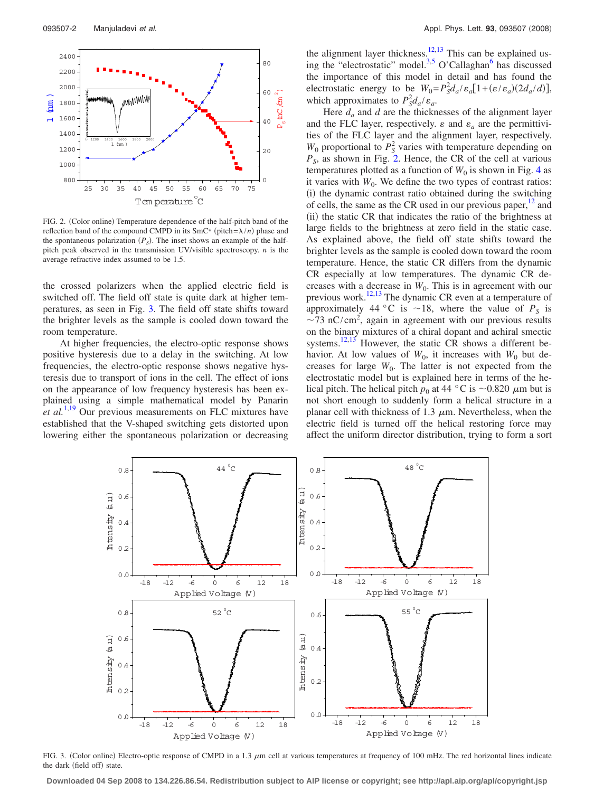<span id="page-3-0"></span>

FIG. 2. (Color online) Temperature dependence of the half-pitch band of the reflection band of the compound CMPD in its  $SmC^*$  (pitch= $\lambda/n$ ) phase and the spontaneous polarization  $(P<sub>S</sub>)$ . The inset shows an example of the halfpitch peak observed in the transmission UV/visible spectroscopy. *n* is the average refractive index assumed to be 1.5.

the crossed polarizers when the applied electric field is switched off. The field off state is quite dark at higher temperatures, as seen in Fig. [3.](#page-3-1) The field off state shifts toward the brighter levels as the sample is cooled down toward the room temperature.

At higher frequencies, the electro-optic response shows positive hysteresis due to a delay in the switching. At low frequencies, the electro-optic response shows negative hysteresis due to transport of ions in the cell. The effect of ions on the appearance of low frequency hysteresis has been explained using a simple mathematical model by Panarin *et al.*<sup>[1](#page-4-0)[,19](#page-4-14)</sup> Our previous measurements on FLC mixtures have established that the V-shaped switching gets distorted upon lowering either the spontaneous polarization or decreasing the alignment layer thickness.<sup>12,[13](#page-4-5)</sup> This can be explained us-ing the "electrostatic" model.<sup>3,[5](#page-4-7)</sup> O'Callaghan<sup>6</sup> has discussed the importance of this model in detail and has found the electrostatic energy to be  $W_0 = P_s^2 d_a / \varepsilon_a [1 + (\varepsilon/\varepsilon_a)(2d_a/d)],$ which approximates to  $P_s^2 d_a / \varepsilon_a$ .

Here  $d_a$  and  $d$  are the thicknesses of the alignment layer and the FLC layer, respectively.  $\varepsilon$  and  $\varepsilon_a$  are the permittivities of the FLC layer and the alignment layer, respectively.  $W_0$  proportional to  $P_S^2$  varies with temperature depending on  $P<sub>S</sub>$ , as shown in Fig. [2.](#page-3-0) Hence, the CR of the cell at various temperatures plotted as a function of  $W_0$  is shown in Fig. [4](#page-4-16) as it varies with  $W_0$ . We define the two types of contrast ratios: (i) the dynamic contrast ratio obtained during the switching of cells, the same as the CR used in our previous paper, $12$  and (ii) the static CR that indicates the ratio of the brightness at large fields to the brightness at zero field in the static case. As explained above, the field off state shifts toward the brighter levels as the sample is cooled down toward the room temperature. Hence, the static CR differs from the dynamic CR especially at low temperatures. The dynamic CR decreases with a decrease in  $W_0$ . This is in agreement with our previous work.<sup>12[,13](#page-4-5)</sup> The dynamic CR even at a temperature of approximately 44 °C is  $\sim$ 18, where the value of  $P<sub>S</sub>$  is  $\sim$ 73 nC/cm<sup>2</sup>, again in agreement with our previous results on the binary mixtures of a chiral dopant and achiral smectic systems.<sup>12[,13](#page-4-5)</sup> However, the static CR shows a different behavior. At low values of  $W_0$ , it increases with  $W_0$  but decreases for large  $W_0$ . The latter is not expected from the electrostatic model but is explained here in terms of the helical pitch. The helical pitch  $p_0$  at 44 °C is ~0.820  $\mu$ m but is not short enough to suddenly form a helical structure in a planar cell with thickness of 1.3  $\mu$ m. Nevertheless, when the electric field is turned off the helical restoring force may affect the uniform director distribution, trying to form a sort

<span id="page-3-1"></span>

FIG. 3. (Color online) Electro-optic response of CMPD in a 1.3  $\mu$ m cell at various temperatures at frequency of 100 mHz. The red horizontal lines indicate the dark (field off) state.

**Downloaded 04 Sep 2008 to 134.226.86.54. Redistribution subject to AIP license or copyright; see http://apl.aip.org/apl/copyright.jsp**